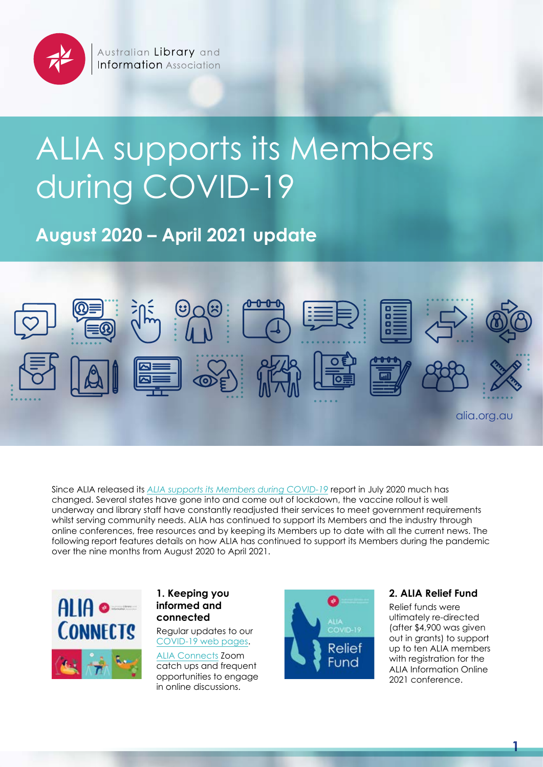

# ALIA supports its Members during COVID-19

**August 2020 – April 2021 update**



Since ALIA released its *[ALIA supports its Members during COVID-19](https://read.alia.org.au/alia-supports-its-members-during-covid-19-summary)* report in July 2020 much has changed. Several states have gone into and come out of lockdown, the vaccine rollout is well underway and library staff have constantly readjusted their services to meet government requirements whilst serving community needs. ALIA has continued to support its Members and the industry through online conferences, free resources and by keeping its Members up to date with all the current news. The following report features details on how ALIA has continued to support its Members during the pandemic over the nine months from August 2020 to April 2021.



#### **1. Keeping you informed and connected**

Regular updates to our [COVID-19 web pages](https://www.alia.org.au/australian-libraries-responding-covid-19).

[ALIA Connects](https://www.alia.org.au/our-communities/alia-connects) Zoom catch ups and frequent opportunities to engage in online discussions.



# **2. ALIA Relief Fund**

Relief funds were ultimately re-directed (after \$4,900 was given out in grants) to support up to ten ALIA members with registration for the ALIA Information Online 2021 conference.

**1**